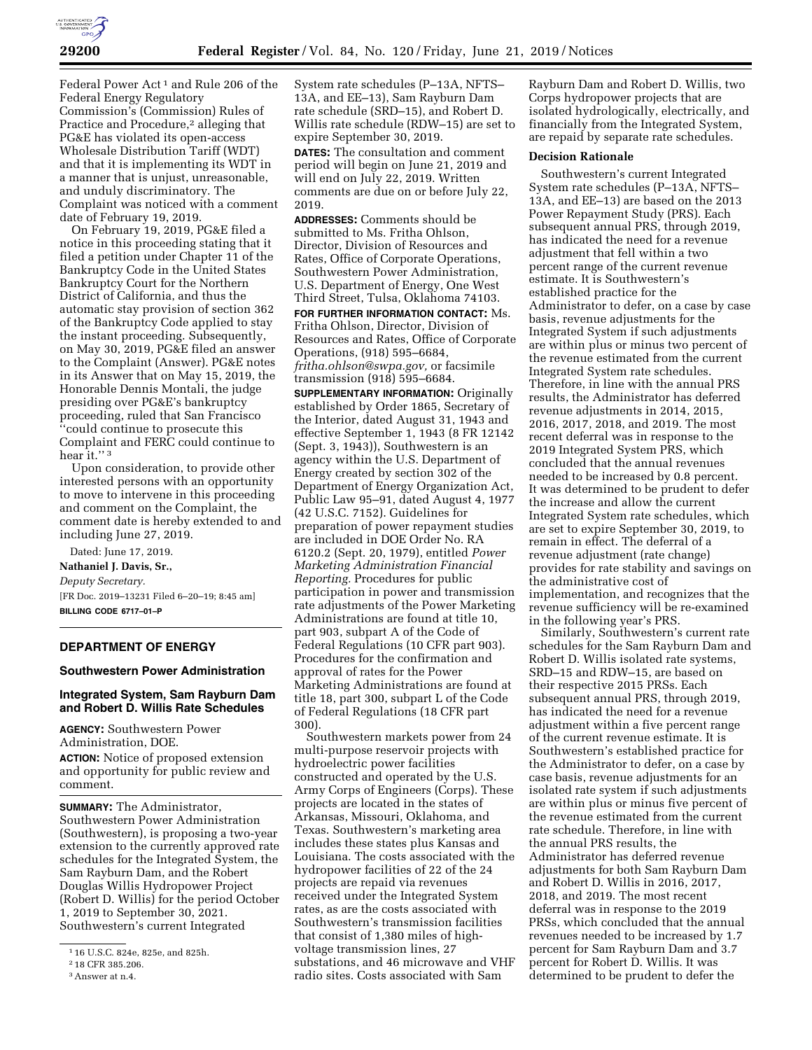

Federal Power Act<sup>1</sup> and Rule 206 of the Federal Energy Regulatory Commission's (Commission) Rules of Practice and Procedure,<sup>2</sup> alleging that PG&E has violated its open-access Wholesale Distribution Tariff (WDT) and that it is implementing its WDT in a manner that is unjust, unreasonable, and unduly discriminatory. The Complaint was noticed with a comment date of February 19, 2019.

On February 19, 2019, PG&E filed a notice in this proceeding stating that it filed a petition under Chapter 11 of the Bankruptcy Code in the United States Bankruptcy Court for the Northern District of California, and thus the automatic stay provision of section 362 of the Bankruptcy Code applied to stay the instant proceeding. Subsequently, on May 30, 2019, PG&E filed an answer to the Complaint (Answer). PG&E notes in its Answer that on May 15, 2019, the Honorable Dennis Montali, the judge presiding over PG&E's bankruptcy proceeding, ruled that San Francisco ''could continue to prosecute this Complaint and FERC could continue to hear it."<sup>3</sup>

Upon consideration, to provide other interested persons with an opportunity to move to intervene in this proceeding and comment on the Complaint, the comment date is hereby extended to and including June 27, 2019.

Dated: June 17, 2019. **Nathaniel J. Davis, Sr.,**  *Deputy Secretary.*  [FR Doc. 2019–13231 Filed 6–20–19; 8:45 am] **BILLING CODE 6717–01–P** 

## **DEPARTMENT OF ENERGY**

#### **Southwestern Power Administration**

# **Integrated System, Sam Rayburn Dam and Robert D. Willis Rate Schedules**

**AGENCY:** Southwestern Power Administration, DOE. **ACTION:** Notice of proposed extension

and opportunity for public review and comment.

**SUMMARY:** The Administrator, Southwestern Power Administration (Southwestern), is proposing a two-year extension to the currently approved rate schedules for the Integrated System, the Sam Rayburn Dam, and the Robert Douglas Willis Hydropower Project (Robert D. Willis) for the period October 1, 2019 to September 30, 2021. Southwestern's current Integrated

System rate schedules (P–13A, NFTS– 13A, and EE–13), Sam Rayburn Dam rate schedule (SRD–15), and Robert D. Willis rate schedule (RDW–15) are set to expire September 30, 2019.

**DATES:** The consultation and comment period will begin on June 21, 2019 and will end on July 22, 2019. Written comments are due on or before July 22, 2019.

**ADDRESSES:** Comments should be submitted to Ms. Fritha Ohlson, Director, Division of Resources and Rates, Office of Corporate Operations, Southwestern Power Administration, U.S. Department of Energy, One West Third Street, Tulsa, Oklahoma 74103.

**FOR FURTHER INFORMATION CONTACT:** Ms. Fritha Ohlson, Director, Division of Resources and Rates, Office of Corporate Operations, (918) 595–6684, *[fritha.ohlson@swpa.gov,](mailto:fritha.ohlson@swpa.gov)* or facsimile transmission (918) 595–6684.

**SUPPLEMENTARY INFORMATION:** Originally established by Order 1865, Secretary of the Interior, dated August 31, 1943 and effective September 1, 1943 (8 FR 12142 (Sept. 3, 1943)), Southwestern is an agency within the U.S. Department of Energy created by section 302 of the Department of Energy Organization Act, Public Law 95–91, dated August 4, 1977 (42 U.S.C. 7152). Guidelines for preparation of power repayment studies are included in DOE Order No. RA 6120.2 (Sept. 20, 1979), entitled *Power Marketing Administration Financial Reporting.* Procedures for public participation in power and transmission rate adjustments of the Power Marketing Administrations are found at title 10, part 903, subpart A of the Code of Federal Regulations (10 CFR part 903). Procedures for the confirmation and approval of rates for the Power Marketing Administrations are found at title 18, part 300, subpart L of the Code of Federal Regulations (18 CFR part 300).

Southwestern markets power from 24 multi-purpose reservoir projects with hydroelectric power facilities constructed and operated by the U.S. Army Corps of Engineers (Corps). These projects are located in the states of Arkansas, Missouri, Oklahoma, and Texas. Southwestern's marketing area includes these states plus Kansas and Louisiana. The costs associated with the hydropower facilities of 22 of the 24 projects are repaid via revenues received under the Integrated System rates, as are the costs associated with Southwestern's transmission facilities that consist of 1,380 miles of highvoltage transmission lines, 27 substations, and 46 microwave and VHF radio sites. Costs associated with Sam

Rayburn Dam and Robert D. Willis, two Corps hydropower projects that are isolated hydrologically, electrically, and financially from the Integrated System, are repaid by separate rate schedules.

#### **Decision Rationale**

Southwestern's current Integrated System rate schedules (P–13A, NFTS– 13A, and EE–13) are based on the 2013 Power Repayment Study (PRS). Each subsequent annual PRS, through 2019, has indicated the need for a revenue adjustment that fell within a two percent range of the current revenue estimate. It is Southwestern's established practice for the Administrator to defer, on a case by case basis, revenue adjustments for the Integrated System if such adjustments are within plus or minus two percent of the revenue estimated from the current Integrated System rate schedules. Therefore, in line with the annual PRS results, the Administrator has deferred revenue adjustments in 2014, 2015, 2016, 2017, 2018, and 2019. The most recent deferral was in response to the 2019 Integrated System PRS, which concluded that the annual revenues needed to be increased by 0.8 percent. It was determined to be prudent to defer the increase and allow the current Integrated System rate schedules, which are set to expire September 30, 2019, to remain in effect. The deferral of a revenue adjustment (rate change) provides for rate stability and savings on the administrative cost of implementation, and recognizes that the revenue sufficiency will be re-examined in the following year's PRS.

Similarly, Southwestern's current rate schedules for the Sam Rayburn Dam and Robert D. Willis isolated rate systems, SRD–15 and RDW–15, are based on their respective 2015 PRSs. Each subsequent annual PRS, through 2019, has indicated the need for a revenue adjustment within a five percent range of the current revenue estimate. It is Southwestern's established practice for the Administrator to defer, on a case by case basis, revenue adjustments for an isolated rate system if such adjustments are within plus or minus five percent of the revenue estimated from the current rate schedule. Therefore, in line with the annual PRS results, the Administrator has deferred revenue adjustments for both Sam Rayburn Dam and Robert D. Willis in 2016, 2017, 2018, and 2019. The most recent deferral was in response to the 2019 PRSs, which concluded that the annual revenues needed to be increased by 1.7 percent for Sam Rayburn Dam and 3.7 percent for Robert D. Willis. It was determined to be prudent to defer the

<sup>1</sup> 16 U.S.C. 824e, 825e, and 825h.

<sup>2</sup> 18 CFR 385.206.

<sup>3</sup>Answer at n.4.